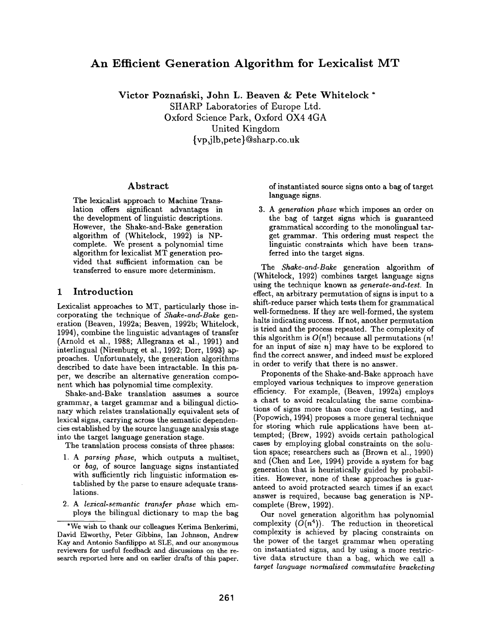# **An Efficient Generation Algorithm for Lexicalist MT**

**Victor Poznafiski, John L. Beaven &: Pete Whitelock \*** 

SHARP Laboratories of Europe Ltd. Oxford Science Park, Oxford OX4 4GA United Kingdom {vp ~i lb,pete } @sharp. co.uk

### Abstract

The lexicalist approach to Machine Translation offers significant advantages in the development of linguistic descriptions. However, the Shake-and-Bake generation algorithm of (Whitelock, 1992) is NPcomplete. We present a polynomial time algorithm for lexicalist MT generation provided that sufficient information can be transferred to ensure more determinism.

#### **1 Introduction**

Lexicalist approaches to MT, particularly those incorporating the technique of *Shake-and-Bake* generation (Beaven, 1992a; Beaven, 1992b; Whitelock, 1994), combine the linguistic advantages of transfer (Arnold et al., 1988; Allegranza et al., 1991) and interlingual (Nirenburg et al., 1992; Dorr, 1993) approaches. Unfortunately, the generation algorithms described to date have been intractable. In this paper, we describe an alternative generation component which has polynomial time complexity.

Shake-and-Bake translation assumes a source grammar, a target grammar and a bilingual dictionary which relates translationally equivalent sets of lexical signs, carrying across the semantic dependencies established by the source language analysis stage into the target language generation stage.

The translation process consists of three phases:

- *1. A parsing phase,* which outputs a multiset, or *bag,* of source language signs instantiated with sufficiently rich linguistic information established by the parse to ensure adequate translations.
- *2. A lexical-semantic transfer phase* which employs the bilingual dictionary to map the bag

of instantiated source signs onto a bag of target language signs.

*3. A generation phase* which imposes an order on the bag of target signs which is guaranteed grammatical according to the monolingual target grammar. This ordering must respect the linguistic constraints which have been transferred into the target signs.

The *Shake-and-Bake* generation algorithm of (Whitelock, 1992) combines target language signs using the technique known as *generate-and-test.* In effect, an arbitrary permutation of signs is input to a shift-reduce parser which tests them for grammatical well-formedness. If they are well-formed, the system halts indicating success. If not, another permutation is tried and the process repeated. The complexity of this algorithm is  $O(n!)$  because all permutations  $(n!)$ for an input of size  $n)$  may have to be explored to find the correct answer, and indeed *must* be explored in order to verify that there is no answer.

Proponents of the Shake-and-Bake approach have employed various techniques to improve generation efficiency. For example, (Beaven, 1992a) employs a chart to avoid recalculating the same combinations of signs more than once during testing, and (Popowich, 1994) proposes a more general technique for storing which rule applications have been attempted; (Brew, 1992) avoids certain pathological cases by employing global constraints on the solution space; researchers such as (Brown et al., 1990) and (Chen and Lee, 1994) provide a system for bag generation that is heuristically guided by probabilities. However, none of these approaches is guaranteed to avoid protracted search times if an exact answer is required, because bag generation is NPcomplete (Brew, 1992).

Our novel generation algorithm has polynomial complexity  $(O(n^4))$ . The reduction in theoretical complexity is achieved by placing constraints on the power of the target grammar when operating on instantiated signs, and by using a more restrictive data structure than a bag, which we call a *target language normalised commutative bracketing* 

<sup>\*</sup>We wish to thank our colleagues Kerima Benkerimi, David Elworthy, Peter Gibbins, Ian Johnson, Andrew Kay and Antonio Sanfilippo at SLE, and our anonymous reviewers for useful feedback and discussions on the research reported here and on earlier drafts of this paper.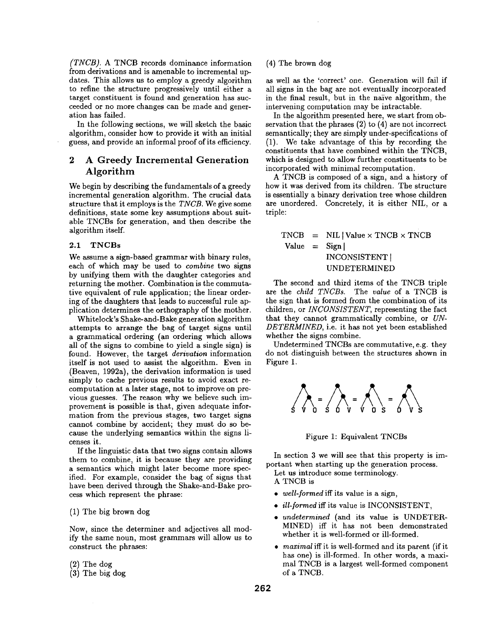*(TNCB).* A TNCB records dominance information from derivations and is amenable to incremental updates. This allows us to employ a greedy algorithm to refine the structure progressively until either a target constituent is found and generation has succeeded or no more changes can be made and generation has failed.

In the following sections, we will sketch the basic algorithm, consider how to provide it with an initial guess, and provide an informal proof of its efficiency.

## 2 A Greedy Incremental Generation Algorithm

We begin by describing the fundamentals of a greedy incremental generation algorithm. The crucial data structure that it employs is the *TNCB.* We give some definitions, state some key assumptions about suitable TNCBs for generation, and then describe the algorithm itself.

#### **2.1 TNCBs**

We assume a sign-based grammar with binary rules, each of which may be used to *combine* two signs by unifying them with the daughter categories and returning the mother. Combination is the commutative equivalent of rule application; the linear ordering of the daughters that leads to successful rule application determines the orthography of the mother.

Whitelock's Shake-and-Bake generation algorithm attempts to arrange the bag of target signs until a grammatical ordering (an ordering which allows all of the signs to combine to yield a single sign) is found. However, the target *derivation* information itself is not used to assist the algorithm. Even in (Beaven, 1992a), the derivation information is used simply to cache previous results to avoid exact recomputation at a later stage, not to improve on previous guesses. The reason why we believe such improvement is possible is that, given adequate information from the previous stages, two target signs cannot combine by accident; they must do so because the underlying semantics within the signs licenses it.

If the linguistic data that two signs contain allows them to combine, it is because they are providing a semantics which might later become more specified. For example, consider the bag of signs that have been derived through the Shake-and-Bake process which represent the phrase:

#### (1) The big brown dog

Now, since the determiner and adjectives all modify the same noun, most grammars will allow us to construct the phrases:

#### (2) The dog

(3) The big dog

#### (4) The brown dog

as well as the 'correct' one. Generation will fail if all signs in the bag are not eventually incorporated in the final result, but in the naïve algorithm, the intervening computation may be intractable.

In the algorithm presented here, we start from observation that the phrases (2) to (4) are not incorrect semantically; they are simply under-specifications of (1). We take advantage of this by recording the constituents that have combined within the TNCB, which is designed to allow further constituents to be incorporated with minimal recomputation.

A TNCB is composed of a sign, and a history of how it was derived from its children. The structure is essentially a binary derivation tree whose children are unordered. Concretely, it is either NIL, or a triple:

 $TNCB = NIL | Value \times TNCB \times TNCB$ Value  $=$  Sign | INCONSISTENT I UNDETERMINED

The second and third items of the TNCB triple are the *child TNCBs.* The *value* of a TNCB is the sign that is formed from the combination of its children, or *INCONSISTENT,* representing the fact that they cannot grammatically combine, or *UN-DETERMINED,* i.e. it has not yet been established whether the signs combine.

Undetermined TNCBs are commutative, e.g. they do not distinguish between the structures shown in Figure 1.



Figure 1: Equivalent TNCBs

In section 3 we will see that this property is important when starting up the generation process. Let us introduce some terminology.

- A TNCB is
- 
- *well-formed* iff its value is a sign,
- *ill-formed* iff its value is INCONSISTENT,
- *undetermined* (and its value is UNDETER-MINED) iff it has not been demonstrated whether it is well-formed or ill-formed.
- *maximal* iff it is well-formed and its parent (if it has one) is ill-formed. In other words, a maximal TNCB is a largest well-formed component of a TNCB.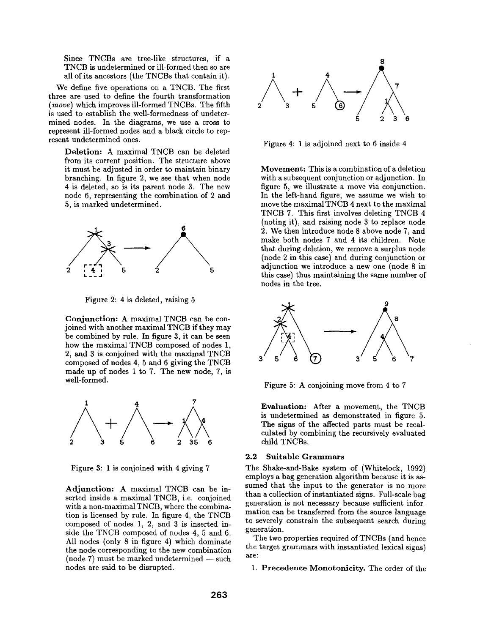Since TNCBs are tree-like structures, if a TNCB is undetermined or ill-formed then so are all of its ancestors (the TNCBs that contain it).

We define five operations on a TNCB. The first three are used to define the fourth transformation *(move)* which improves ill-formed TNCBs. The fifth is used to establish the well-formedness of undetermined nodes. In the diagrams, we use a cross to represent ill-formed nodes and a black circle to represent undetermined ones.

Deletion: A maximal TNCB can be deleted from its current position. The structure above it must be adjusted in order to maintain binary branching. In figure 2, we see that when node 4 is deleted, so is its parent node 3. The new node 6, representing the combination of 2 and 5, is marked undetermined.



Figure 2: 4 is deleted, raising 5

Conjunction: A maximal TNCB can be conjoined with another maximal TNCB if they may be combined by rule. In figure 3, it can be seen how the maximal TNCB composed of nodes 1, 2, and 3 is conjoined with the maximal TNCB composed of nodes 4, 5 and 6 giving the TNCB made up of nodes 1 to 7. The new node, 7, is well-formed.



Figure 3:1 is conjoined with 4 giving 7

Adjunction: A maximal TNCB can be inserted inside a maximal TNCB, i.e. conjoined with a non-maximal TNCB, where the combination is licensed by rule. In figure 4, the TNCB composed of nodes 1, 2, and 3 is inserted inside the TNCB composed of nodes 4, 5 and 6. All nodes (only 8 in figure 4) which dominate the node corresponding to the new combination  $(node 7)$  must be marked undetermined  $-$  such nodes are said to be disrupted.



Figure 4:1 is adjoined next to 6 inside 4

Movement: This is a combination of a deletion with a subsequent conjunction or adjunction. In figure 5, we illustrate a move via conjunction. In the left-hand figure, we assume we wish to move the maximal TNCB 4 next to the maximal TNCB 7. This first involves deleting TNCB 4 (noting it), and raising node 3 to replace node 2. We then introduce node 8 above node 7, and make both nodes 7 and 4 its children. Note that during deletion, we remove a surplus node (node 2 in this case) and during conjunction or adjunction we introduce a new one (node 8 in this case) thus maintaining the same number of nodes in the tree.



Figure 5: A conjoining move from 4 to 7

Evaluation: After a movement, the TNCB is undetermined as demonstrated in figure 5. The signs of the affected parts must be recalculated by combining the recursively evaluated child TNCBs.

#### **2.2 Suitable Grammars**

The Shake-and-Bake system of (Whitelock, 1992) employs a bag generation algorithm because it is assumed that the input to the generator is no more than a collection of instantiated signs. Full-scale bag generation is not necessary because sufficient information can be transferred from the source language to severely constrain the subsequent search during generation.

The two properties required of TNCBs (and hence the target grammars with instantiated lexical signs) are:

1. Precedence Monotonicity. The order of the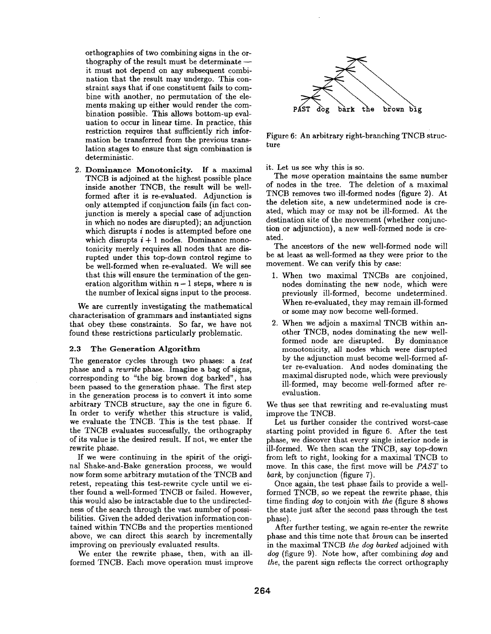orthographies of two combining signs in the orthography of the result must be determinate -it must not depend on any subsequent combination that the result may undergo. This constraint says that if one constituent fails to combine with another, no permutation of the elements making up either would render the combination possible. This allows bottom-up evaluation to occur in linear time. In practice, this restriction requires that sufficiently rich information be transferred from the previous translation stages to ensure that sign combination is deterministic.

2. Dominance Monotonicity. If a maximal TNCB is adjoined at the highest possible place inside another TNCB, the result will be wellformed after it is re-evaluated. Adjunction is only attempted if conjunction fails (in fact conjunction is merely a special case of adjunction in which no nodes are disrupted); an adjunction which disrupts *i* nodes is attempted before one which disrupts  $i + 1$  nodes. Dominance monotonicity merely requires all nodes that are disrupted under this top-down control regime to be well-formed when re-evaluated. We will see that this will ensure the termination of the generation algorithm within  $n-1$  steps, where *n* is the number of lexical signs input to the process.

We are currently investigating the mathematical characterisation of grammars and instantiated signs that obey these constraints. So far, we have not found these restrictions particularly problematic.

#### 2.3 The Generation Algorithm

The generator cycles through two phases: a *test*  phase and a *rewrite* phase. Imagine a bag of signs, corresponding to "the big brown dog barked", has been passed to the generation phase. The first step in the generation process is to convert it into some arbitrary TNCB structure, say the one in figure 6. In order to verify whether this structure is valid, we evaluate the TNCB. This is the test phase. If the TNCB evaluates successfully, the orthography of its value is the desired result. If not, we enter the rewrite phase.

If we were continuing in the spirit of the original Shake-and-Bake generation process, we would now form some arbitrary mutation of the TNCB and retest, repeating this test-rewrite cycle until we either found a well-formed TNCB or failed. However, this would also be intractable due to the undirectedness of the search through the vast number of possibilities. Given the added derivation information contained within TNCBs and the properties mentioned above, we can direct this search by incrementally improving on previously evaluated results.

We enter the rewrite phase, then, with an illformed TNCB. Each move operation must improve



Figure 6: An arbitrary right-branching TNCB structure

it. Let us see why this is so.

The *move* operation maintains the same number of nodes in the tree. The deletion of a maximal TNCB removes two ill-formed nodes (figure 2). At the deletion site, a new undetermined node is created, which may or may not be ill-formed. At the destination site of the movement (whether conjunction or adjunction), a new well-formed node is created.

The ancestors of the new well-formed node will be at least as well-formed as they were prior to the movement. We can verify this by case:

- 1. When two maximal TNCBs are conjoined, nodes dominating the new node, which were previously ill-formed, become undetermined. When re-evaluated, they may remain ill-formed or some may now become well-formed.
- 2. When we adjoin a maximal TNCB within another TNCB, nodes dominating the new wellformed node are disrupted. By dominance monotonicity, all nodes which were disrupted by the adjunction must become well-formed after re-evaluation. And nodes dominating the maximal disrupted node, which were previously ill-formed, may become well-formed after reevaluation.

We thus see that rewriting and re-evaluating must improve the TNCB.

Let us further consider the contrived worst-case starting point provided in figure 6. After the test phase, we discover that every single interior node is ill-formed. We then scan the TNCB, say top-down from left to right, looking for a maximal TNCB to move. In this case, the first move will be *PAST* to *bark,* by conjunction (figure 7).

Once again, the test phase fails to provide a wellformed TNCB, so we repeat the rewrite phase, this time finding *dog* to conjoin with *the* (figure 8 shows the state just after the second pass through the test phase).

After further testing, we again re-enter the rewrite phase and this time note that *brown* can be inserted in the maximal TNCB *the dog barked* adjoined with *dog* (figure 9). Note how, after combining *dog* and *the,* the parent sign reflects the correct orthography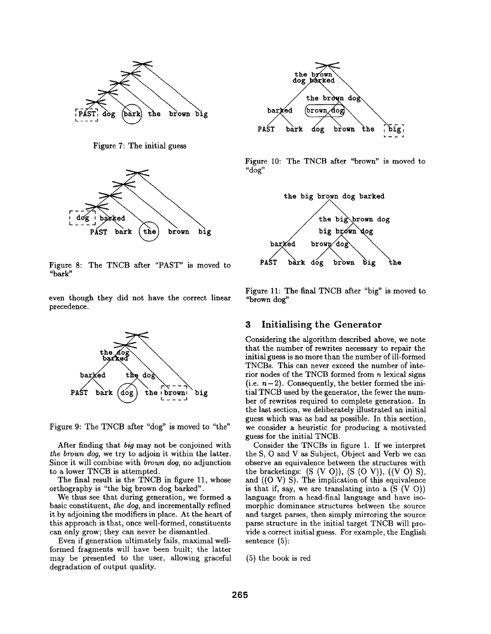

Figure 7: The initial guess



Figure 8: The TNCB after "PAST" is moved to "bark"

even though they did not have the correct linear precedence.



Figure 9: The TNCB after "dog" is moved to "the"

After finding that *big* may not be conjoined with *the brown dog,* we try to adjoin it within the latter. Since it will combine with *brown dog,* no adjunction to a lower TNCB is attempted.

The final result is the TNCB in figure 11, whose orthography is "the big brown dog barked".

We thus see that during generation, we formed a basic constituent, *the dog,* and incrementally refined it by adjoining the modifiers in place. At the heart of this approach is that, once well-formed, constituents can only grow; they can never be dismantled.

Even if generation ultimately fails, maximal wellformed fragments will have been built; the latter may be presented to the user, allowing graceful degradation of output quality.



Figure 10: The TNCB after "brown" is moved to "dog"



Figure 11: The final TNCB after "big" is moved to "brown dog"

#### **3 Initialising the Generator**

Considering the algorithm described above, we note that the number of rewrites necessary to repair the initial guess is no more than the number of ill-formed TNCBs. This can never exceed the number of interior nodes of the TNCB formed from  $n$  lexical signs  $(i.e. n-2)$ . Consequently, the better formed the initial TNCB used by the generator, the fewer the number of rewrites required to complete generation. In the last section, we deliberately illustrated an initial guess which was as bad as possible. In this section, we consider a heuristic for producing a motivated guess for the initial TNCB.

Consider the TNCBs in figure 1. If we interpret the S, O and V as Subject, Object and Verb we can observe an equivalence between the structures with the bracketings:  $(S (V O)), (S (O V)), ((V O) S),$ and ((O V) S). The implication of this equivalence is that if, say, we are translating into a  $(S (V O))$ language from a head-final language and have isomorphic dominance structures between the source and target parses, then simply mirroring the source parse structure in the initial target TNCB will provide a correct initial guess. For example, the English sentence (5):

(5) the book is red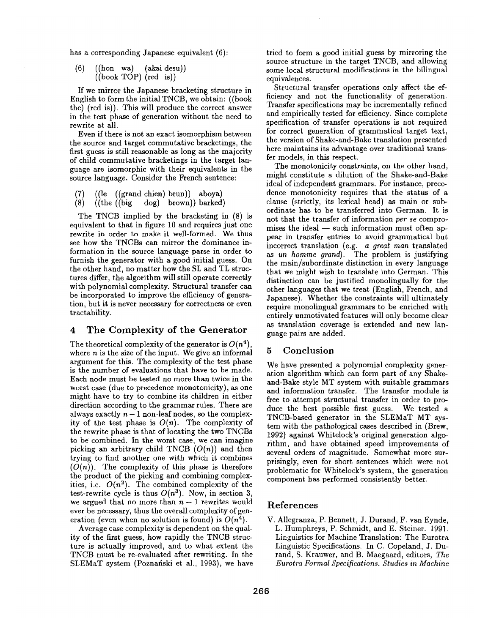has a corresponding Japanese equivalent (6):

$$
\begin{array}{cc}\n(6) & ((hon wa) & (akai desu)) \\
& ((book TOP) (red is))\n\end{array}
$$

If we mirror the Japanese bracketing structure in English to form the initial TNCB, we obtain: ((book the) (red is)). This will produce the correct answer in the test phase of generation without the need to rewrite at all.

Even if there is not an exact isomorphism between the source and target commutative bracketings, the first guess is still reasonable as long as the majority of child commutative bracketings in the target language are isomorphic with their equivalents in the source language. Consider the French sentence:

- $((le (grand chien) brun))$  aboya)
- (8) ((the ((big dog) brown)) barked)

The TNCB implied by the bracketing in (8) is equivalent to that in figure 10 and requires just one rewrite in order to make it well-formed. We thus see how the TNCBs can mirror the dominance information in the source language parse in order to furnish the generator with a good initial guess. On the other hand, no matter how the SL and TL structures differ, the algorithm will still operate correctly with polynomial complexity. Structural transfer can be incorporated to improve the efficiency of generation, but it is never necessary for correctness or even tractability.

## 4 The Complexity of the Generator

The theoretical complexity of the generator is  $O(n^4)$ , where  $n$  is the size of the input. We give an informal argument for this. The complexity of the test phase is the number of evaluations that have to be made. Each node must be tested no more than twice in the worst case (due to precedence monotonicity), as one might have to try to combine its children in either direction according to the grammar rules. There are always exactly  $n-1$  non-leaf nodes, so the complexity of the test phase is  $O(n)$ . The complexity of the rewrite phase is that of locating the two TNCBs to be combined. In the worst case, we can imagine picking an arbitrary child TNCB *(O(n))* and then trying to find another one with which it combines  $(O(n))$ . The complexity of this phase is therefore the product of the picking and combining complexities, i.e.  $O(n^2)$ . The combined complexity of the test-rewrite cycle is thus  $O(n^3)$ . Now, in section 3, we argued that no more than  $n - 1$  rewrites would ever be necessary, thus the overall complexity of generation (even when no solution is found) is  $O(n^4)$ .

Average case complexity is dependent on the quality of the first guess, how rapidly the TNCB structure is actually improved, and to what extent the TNCB must be re-evaluated after rewriting. In the SLEMaT system (Poznański et al., 1993), we have tried to form a good initial guess by mirroring the source structure in the target TNCB, and allowing some local structural modifications in the bilingual equivalences.

Structural transfer operations only affect the efficiency and not the functionality of generation. Transfer specifications may be incrementally refined and empirically tested for efficiency. Since complete specification of transfer operations is not required for correct generation of grammatical target text, the version of Shake-and-Bake translation presented here maintains its advantage over traditional transfer models, in this respect.

The monotonicity constraints, on the other hand, might constitute a dilution of the Shake-and-Bake ideal of independent grammars. For instance, precedence monotonicity requires that the status of a clause (strictly, its lexical head) as main or subordinate has to be transferred into German. It is not that the transfer of information *per se* compromises the ideal  $-$  such information must often appear in transfer entries to avoid grammatical but incorrect translation (e.g. *a great man* translated *as un homme grand).* The problem is justifying the main/subordinate distinction in every language that we might wish to translate into German. This distinction can be justified monolingually for the other languages that we treat (English, French, and Japanese). Whether the constraints will ultimately require monolingual grammars to be enriched with entirely unmotivated features will only become clear as translation coverage is extended and new language pairs are added.

## 5 Conclusion

We have presented a polynomial complexity generation algorithm which can form part of any Shakeand-Bake style MT system with suitable grammars and information transfer. The transfer module is free to attempt structural transfer in order to produce the best possible first guess. We tested a TNCB-based generator in the SLEMaT MT system with the pathological cases described in (Brew, 1992) against Whitelock's original generation algorithm, and have obtained speed improvements of several orders of magnitude. Somewhat more surprisingly, even for short sentences which were not problematic for Whitelock's system, the generation component has performed consistently better.

## References

V. Allegranza, P. Bennett, J. Durand, F. van Eynde, L. Humphreys, P. Schmidt, and E. Steiner. 1991. Linguistics for Machine Translation: The Eurotra Linguistic Specifications. In C. Copeland, J. Durand, S. Krauwer, and B. Maegaard, editors, *The Eurotra Formal Specifications. Studies in Machine*